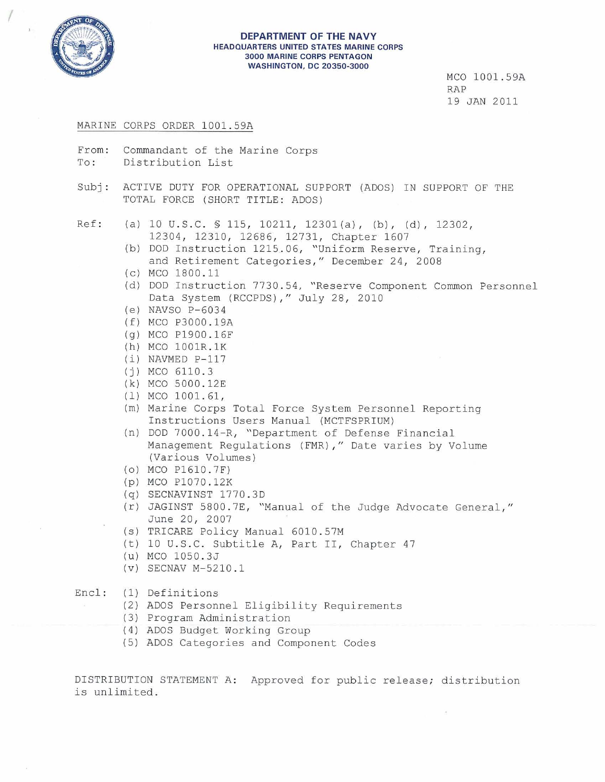

(

#### **DEPARTMENT OF THE NAVY** HEADQUARTERS UNITED STATES MARINE CORPS 3000 MARINE CORPS PENTAGON WASHINGTON, DC 20350-3000

MCO 1001. 59A RAP 19 JAN 2011

#### MARINE CORPS ORDER 1001.59A

- From: Commandant of the Marine Corps To: Distribution List
- Subj: ACTIVE DUTY FOR OPERATIONAL SUPPORT (ADOS) IN SUPPORT OF THE TOTAL FORCE (SHORT TITLE: ADOS)

Ref:

- 10 U.S.C. § 115, 10211, 12301 (a), (b), (d), 12302, 12304, 12310, 12686, 12731, Chapter 1607
	- (b) DOD Instruction 1215.06, "Uniform Reserve, Training, and Retirement Categories," December 24, 2008
	- (c) MCO 1800.11
	- (d) DOD Instruction 7730.54, "Reserve Component Common Personnel Data System (RCCPDS)," July 28, 2010
	- (e) NAVSO P-6034
	- (f) MCO P3000.l9A
	- (g) MCO P1900.l6F
	- (h) MCO 1001R.lK
	- (i) NAVMED P-117
	- (j) MCO 6110.3
	- ( k) MCO 5000.l2E
	- (1) MCO 1001.61,
	- (m) Marine Corps Total Force System Personnel Reporting Instructions Users Manual (MCTFSPRIUM)
	- (n) DOD 7000.l4-R, "Department of Defense Financial Management Regulations (FMR)," Date varies by Volume (Various Volumes)
	- (0) MCO P16l0. 7F)
	- (p) MCO Pl070.l2K
	- (q) SECNAVINST 1770.30
	- (r) JAGINST 5800.7E, "Manual of the Judge Advocate General," June 20, 2007
	- (s) TRICARE Policy Manual 6010.57M
	- (t) 10 U.S.C. Subtitle A, Part II, Chapter <sup>47</sup>
	- (u) MCO 1050.3J
	- (v) SECNAV M-52l0.l

#### Encl: (1) Definitions

- (2) ADOS Personnel Eligibility Requirements
- ( 3) Program Administration
- (4) ADOS Budget Working Group
- (5) ADOS Categories and Component Codes

DISTRIBUTION STATEMENT A: Approved for public release; distribution is unlimited.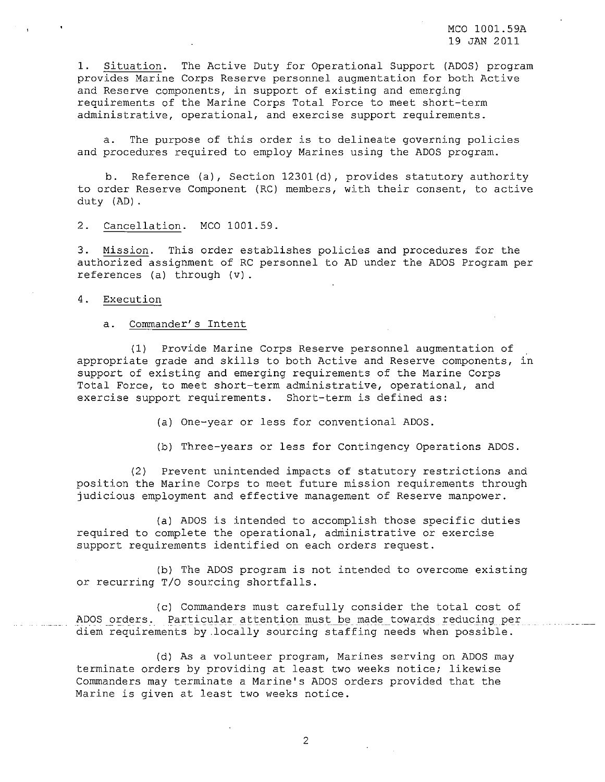MCO 1001.59A 19 JAN 2011

1. Situation. The Active Duty for Operational Support (ADOS) program provides Marine Corps Reserve personnel augmentation for both Active and Reserve components, in support of existing and emerging requirements of the Marine Corps Total Force to meet short-term administrative, operational, and exercise support requirements.

a. The purpose of this order is to delineate governing policies and procedures required to employ Marines using the ADOS program.

b. Reference (a), Section 12301(d), provides statutory authority to order Reserve Component (RC) members, with their consent, to active duty (AD).

2. Cancellation. MCO 1001.59.

3. Mission. This order establishes policies and procedures for the authorized assignment of RC personnel to AD under the ADOS Program per references (a) through (v).

4. Execution

a. Commander's Intent

(1) Provide Marine Corps Reserve personnel augmentation of appropriate grade and skills to both Active and Reserve components, in support of existing and emerging requirements of the Marine Corps Total Force, to meet short-term administrative, operational, and exercise support requirements. Short-term is defined as:

(a) One-year or less for conventional ADOS.

(b) Three-years or less for Contingency Operations ADOS.

(2) Prevent unintended impacts of statutory restrictions and position the Marine Corps to meet future mission requirements through judicious employment and effective management of Reserve manpower.

(a) ADOS is intended to accomplish those specific duties required to complete the operational, administrative or exercise support requirements identified on each orders request.

(b) The ADOS program is not intended to overcome existing or recurring T/O sourcing shortfalls.

(c) Commanders must carefully consider the total cost of ADOS orders. Particular attention must be made towards reducing per diem requirements by.locally sourcing staffing needs when possible.

(d) As a volunteer program, Marines serving on ADOS may terminate orders by providing at least two weeks notice; likewise Commanders may terminate <sup>a</sup> Marine's ADOS orders provided that the Marine is given at least two weeks notice.

2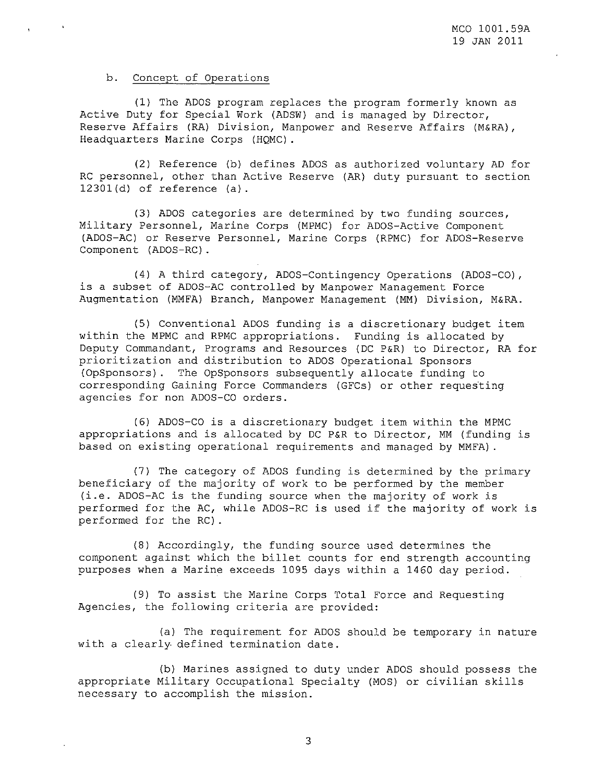# b. Concept of Operations

(1) The ADOS program replaces the program formerly known as Active Duty for Special Work (ADSW) and is managed by Director, Reserve Affairs (RA) Division, Manpower and Reserve Affairs (M&RA) , Headquarters Marine Corps (HQMC).

(2) Reference (b) defines ADOS as authorized voluntary AD for RC personnel, other than Active Reserve (AR) duty pursuant to section 12301(d) of reference (a).

(3) ADOS categories are determined by two funding sources, Military Personnel, Marine Corps (MPMC) for ADOS-Active Component (ADOS-AC) or Reserve Personnel, Marine Corps (RPMC) for ADOS-Reserve Component (ADOS-RC).

(4) <sup>A</sup> third category, ADOS-Contingency Operations (ADOS-CO), is <sup>a</sup> subset of ADOS-AC controlled by Manpower Management Force Augmentation (MMFA) Branch, Manpower Management (MM) Division, M&RA.

(5) Conventional ADOS funding is <sup>a</sup> discretionary budget item within the MPMC and RPMC appropriations. Funding is allocated by Deputy Commandant, Programs and Resources (DC P&R) to Director, RA for prioritization and distribution to ADOS Operational Sponsors (OpSponsors). The OpSponsors subsequently allocate funding to corresponding Gaining Force Commanders (GFCs) or other requesting agencies for non ADOS-CO orders.

(6) ADOS-CO is <sup>a</sup> discretionary budget item within the MPMC appropriations and is allocated by DC P&R to Director, MM (funding is based on existing operational requirements and managed by MMFA) .

(7) The category of ADOS funding is determined by the primary beneficiary of the majority of work to be performed by the member (i.e. ADOS-AC is the funding source when the majority of work is performed for the AC, while ADOS-RC is used if the majority of work is performed for the RC) .

(8) Accordingly, the funding source used determines the component against which the billet counts for end strength accounting purposes when a Marine exceeds 1095 days within a 1460 day period.

(9) To assist the Marine Corps Total Force and Requesting Agencies, the following criteria are provided:

(a) The requirement for ADOS should be temporary in nature with <sup>a</sup> clearly defined termination date.

(b) Marines assigned to duty under ADOS should possess the appropriate Military Occupational Specialty (MOS) or civilian skills necessary to accomplish the mission.

3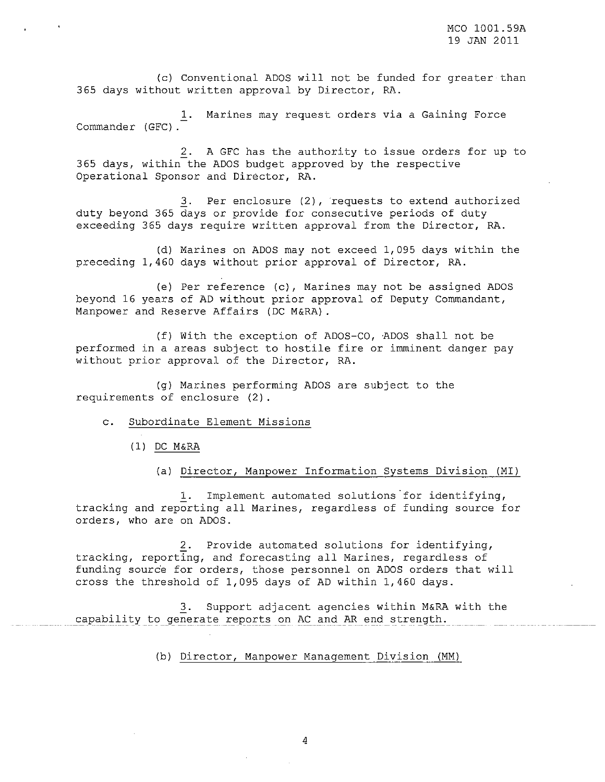(c) Conventional ADOS will not be funded for greater than 365 days without written approval by Director, RA.

1. Marines may request orders via a Gaining Force Commander (GFC).

2. A GFC has the authority to issue orders for up to 365 days, within the ADOS budget approved by the respective Operational Sponsor and Director, RA.

3. Per enclosure (2), requests to extend authorized duty beyond 365 days or provide for consecutive periods of duty exceeding 365 days require written approval from the Director, RA.

(d) Marines on ADOS may not exceed 1,095 days within the preceding 1,460 days without prior approval of Director, RA.

(e) Per reference (c), Marines may not be assigned ADOS beyond 16 years of AD without prior approval of Deputy Commandant, Manpower and Reserve Affairs (DC M&RA) .

(f) With the exception of ADOS-CO, 'ADOS shall not be performed in <sup>a</sup> areas subject to hostile fire or imminent danger pay without prior approval of the Director, RA.

(g) Marines performing ADOS are subject to the requirements of enclosure (2).

- c. Subordinate Element Missions
	- (1) DC M&RA
		- (a) Director, Manpower Information Systems Division (MI)

1. Implement automated solutions for identifying, tracking and reporting all Marines, regardless of funding source for orders, who are on ADOS.

2. Provide automated solutions for identifying, tracking, reporting, and forecasting all Marines, regardless of funding source for orders, those personnel on ADOS orders that will cross the threshold of 1,095 days of AD within 1,460 days.

*l.* Support adjacent agencies within M&RA with the capability to generate reports on AC and AR end strength.

(b) Director, Manpower Management Division (MM)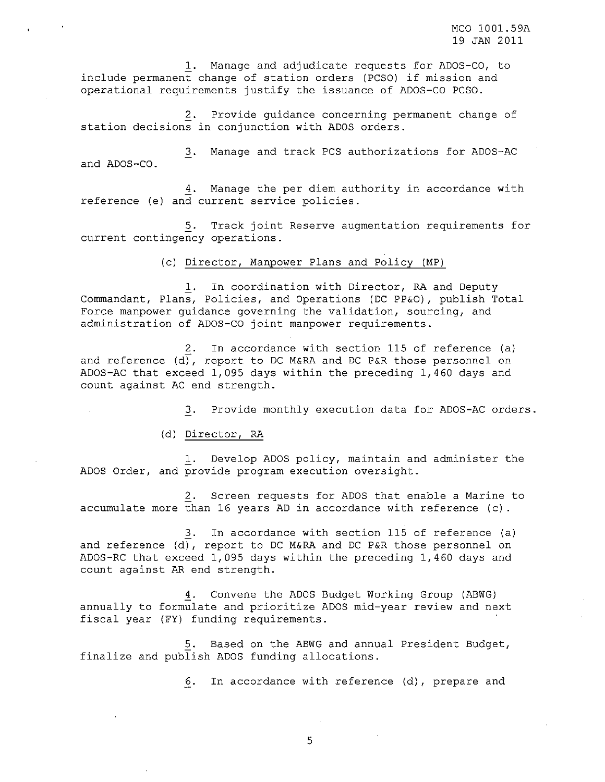**1.** Manage and adjudicate requests for ADOS-CO, to include permanent change of station orders (PCSO) if mission and operational requirements justify the issuance of ADOS-CO PCSO.

2. Provide guidance concerning permanent change of station decisions in conjunction with ADOS orders.

**3.** Manage and track PCS authorizations for ADOS-AC and ADOS-CO.

*i.* Manage the per diem authority in accordance with reference (e) and current service policies.

**5.** Track joint Reserve augmentation requirements for current contingency operations.

(c) Director, Manpower Plans and Policy (MP)

**1.** In coordination with Director, RA and Deputy Commandant, Plans, Policies, and Operations (DC PP&O) , publish Total Force manpower guidance governing the validation, sourcing, and administration of ADOS-CO joint manpower requirements.

**2.** In accordance with section 115 of reference (a) and reference  $(d)$ , report to DC M&RA and DC P&R those personnel on ADOS-AC that exceed 1,095 days within the preceding 1,460 days and count against AC end strength.

**3.** Provide monthly execution data for ADOS-AC orders.

(d) Director, RA

**1.** Develop ADOS policy, maintain and administer the ADOS Order, and provide program execution oversight.

2. Screen requests for ADOS that enable a Marine to accumulate more than 16 years AD in accordance with reference (c).

**3.** In accordance with section 115 of reference (a) and reference (d), report to DC M&RA and DC P&R those personnel on ADOS-RC that exceed 1,095 days within the preceding 1,460 days and count against AR end strength.

*i.* Convene the ADOS Budget Working Group (ABWG) annually to formulate and prioritize ADOS mid-year review and next fiscal year (FY) funding requirements.

**5.** Based on the ABWG and annual President Budget, finalize and publish ADOS funding allocations.

**6.** In accordance with reference (d), prepare and

5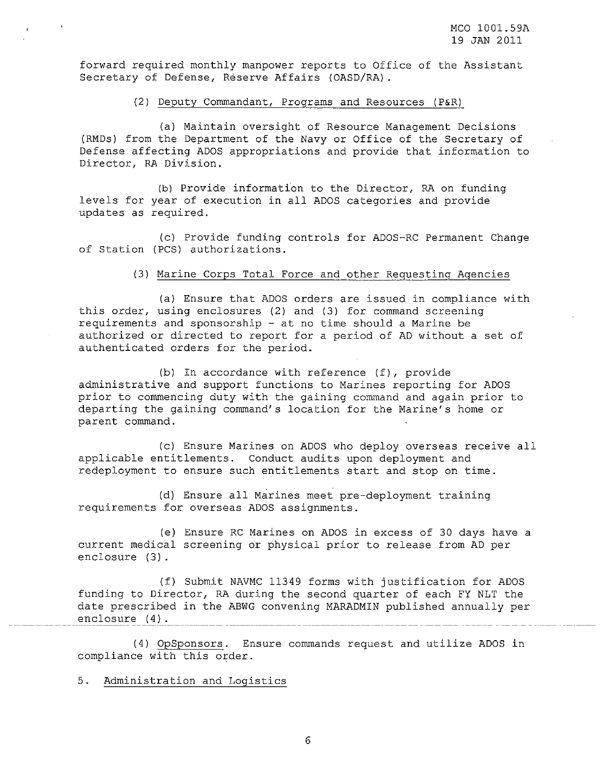forward required monthly manpower reports to Office of the Assistant Secretary of Defense, Reserve Affairs (OASD/RA).

#### (2) Deputy Commandant, Programs and Resources (P&R)

(a) Maintain oversight of Resource Management Decisions (RMDs) from the Department of the Navy or Office of the Secretary of Defense affecting ADOS appropriations and provide that information to Director, RA Division.

(b) Provide information to the Director, RA on funding levels for year of execution in all ADOS categories and provide updates as required.

(c) Provide funding controls for ADOS-RC Permanent Change of Station (PCS) authorizations.

# (3) Marine Corps Total Force and other Requesting Agencies

(a) Ensure that ADOS orders are issued in compliance with this order, using enclosures (2) and (3) for command screening requirements and sponsorship - at no time should <sup>a</sup> Marine be authorized or directed to report for <sup>a</sup> period of AD without <sup>a</sup> set of authenticated orders for the period.

(b) In accordance with reference (f), provide administrative and support functions to Marines reporting for ADOS prior to commencing duty with the gaining command and again prior to departing the gaining command's location for the Marine's home or parent command.

(c) Ensure Marines on ADOS who deploy overseas receive all applicable entitlements. Conduct audits upon deployment and redeployment to ensure such entitlements start and stop on time.

(d) Ensure all Marines meet pre-deployment training requirements for overseas ADOS assignments.

(e) Ensure RC Marines on ADOS in excess of 30 days have a current medical screening or physical prior to release from AD per enclosure (3).

(f) Submit NAVMC 11349 forms with justification for ADOS funding to Director, RA during the second quarter of each FY NLT the date prescribed in the ABWG convening MARADMIN published annually per enclosure (4).

(4) OpSponsors. Ensure commands request and utilize ADOS in compliance with this order.

**5.** Administration and Logistics

6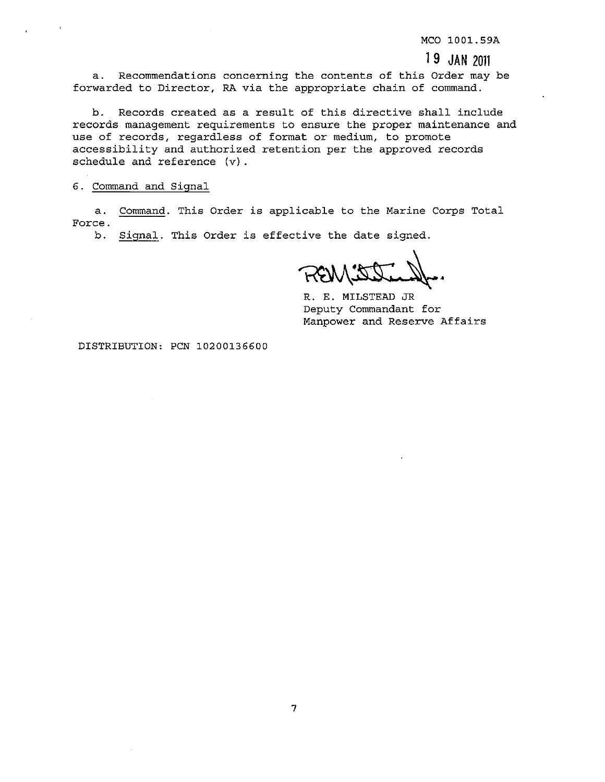MCO 1001.59A

# 1**9 JAN <sup>2011</sup>**

a. Recommendations concerning the contents of this Order may be forwarded to Director, RA via the appropriate chain of command.

b. Records created as <sup>a</sup> result of this directive shall include records management requirements to ensure the proper maintenance and use of records, regardless of format or medium, to promote accessibility and authorized retention per the approved records schedule and reference (v).

6. Command and Signal

a. Command. This Order is applicable to the Marine Corps Total **Force.**

b. Signal. This Order is effective the date signed.

REWIE

R. E. MILSTEAD JR Deputy Commandant for Manpower and Reserve Affairs

DISTRIBUTION: PCN 10200136600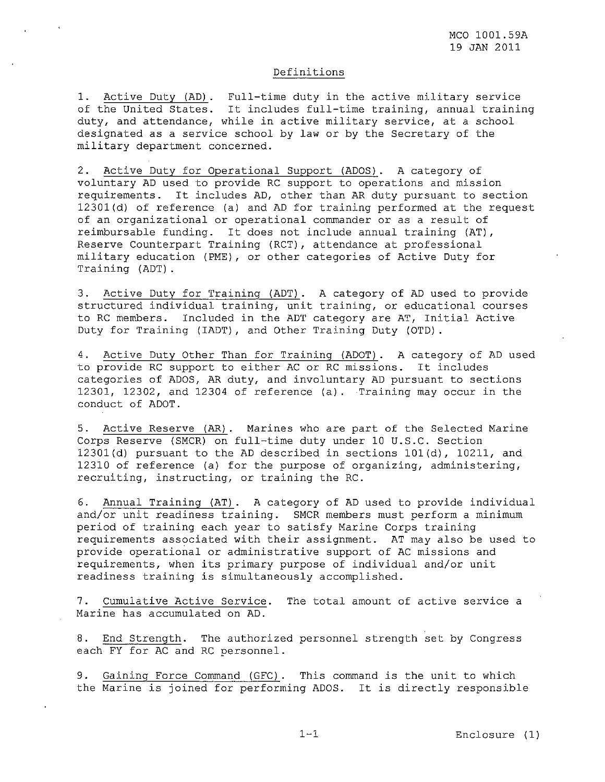# Definitions

1. Active Duty (AD). Full-time duty in the active military service of the United States. It includes full-time training, annual training duty, and attendance, while in active military service, at <sup>a</sup> school designated as a service school by law or by the Secretary of the military department concerned.

2. Active Duty for Operational Support (ADOS). A category of voluntary AD used to provide RC support to operations and mission requirements. It includes AD, other than AR duty pursuant to section 12301(d) of reference (a) and AD for training performed at the request of an organizational or operational commander or as <sup>a</sup> result of reimbursable funding. It does not include annual training (AT), Reserve Counterpart Training (RCT) , attendance at professional military education (PME) , or other categories of Active Duty for Training (ADT).

3. Active Duty for Training (ADT). A category of AD used to provide structured individual training, unit training, or educational courses to RC members. Included in the ADT category are AT, Initial Active Duty for Training (IADT), and Other Training Duty (OTD).

4. Active Duty Other Than for Training (ADOT). A category of AD used to provide RC support to either AC or RC missions. It includes categories of ADOS, AR duty, and involuntary AD pursuant to sections 12301, 12302, and 12304 of reference (a) . Training may occur in the conduct of ADOT.

5. Active Reserve (AR). Marines who are part of the Selected Marine Corps Reserve (SMCR) on full-time duty under 10 U.S.C. Section 12301(d) pursuant to the AD described in sections 101(d), 10211, and 12310 of reference (a) for the purpose of organizing, administering, recruiting, instructing, or training the RC.

6. Annual Training (AT). A category of AD used to provide individual and/or unit readiness training. SMCR members must perform a minimum period of training each year to satisfy Marine Corps training requirements associated with their assignment. AT may also be used to provide operational or administrative support of AC missions and requirements, when its primary purpose of individual and/or unit readiness training is simultaneously accomplished.

7. Cumulative Active Service. The total amount of active service <sup>a</sup> Marine has accumulated on AD.

8. End Strength. The authorized personnel strength set by Congress each FY for AC and RC personnel.

9. Gaining Force Command (GFC). This command is the unit to which the Marine is joined for performing ADOS. It is directly responsible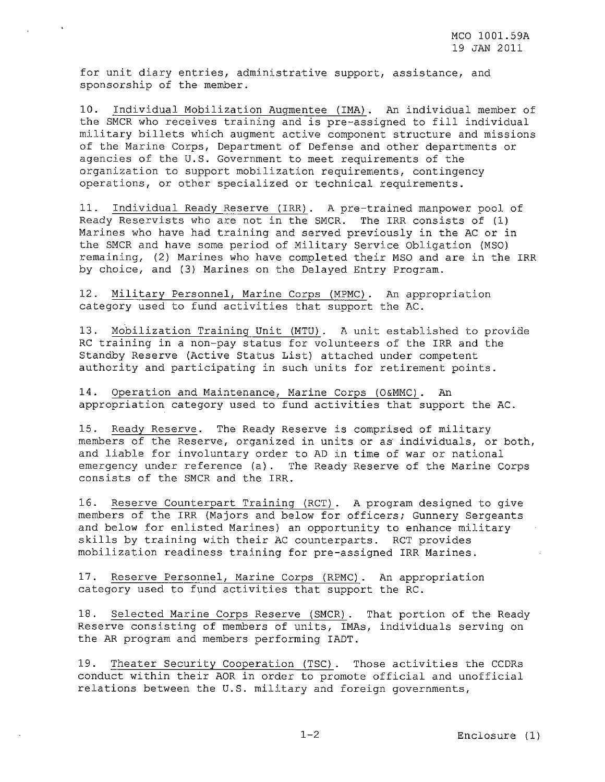for unit diary entries, administrative support, assistance, and sponsorship of the member.

10. Individual Mobilization Augmentee (IMA). An individual member of the SMCR who receives training and is pre-assigned to fill individual military billets which augment active component structure and missions of the Marine Corps, Department of Defense and other departments or agencies of the U.S. Government to meet requirements of the organization to support mobilization requirements, contingency operations, or other specialized or technical requirements.

11. Individual Ready Reserve (IRR). A pre-trained manpower pool of Ready Reservists who are not in the SMCR. The IRR consists of (1) Marines who have had training and served previously in the AC or in the SMCR and have some period of Military Service Obligation (MSO) remaining, (2) Marines who have completed their MSO and are in the IRR by choice, and (3) Marines on the Delayed Entry Program.

12. Military Personnel, Marine Corps (MPMC). An appropriation category used to fund activities that support the AC.

13. Mobilization Training Unit (MTU). A unit established to provide RC training in a non-pay status for volunteers of the IRR and the Standby Reserve (Active Status List) attached under competent authority and participating in such units for retirement points.

14. Operation and Maintenance, Marine Corps (O&MMC). An appropriation category used to fund activities that support the AC.

15. Ready Reserve. The Ready Reserve is comprised of military members of the Reserve, organized in units or as' individuals, or both, and liable for involuntary order to AD in time of war or national emergency under reference (a). The Ready Reserve of the Marine Corps consists of the SMCR and the IRR.

16. Reserve Counterpart Training (RCT). A program designed to give members of the IRR (Majors and below for officers; Gunnery Sergeants and below for enlisted Marines) an opportunity to enhance military skills by training with their AC counterparts. RCT provides mobilization readiness training for pre-assigned IRR Marines.

17. Reserve Personnel, Marine Corps (RPMC). An appropriation category used to fund activities that support the RC.

18. Selected Marine Corps Reserve (SMCR). That portion of the Ready Reserve consisting of members of units, IMAs, individuals serving on the AR program and members performing IADT.

19. Theater Security Cooperation (TSC). Those activities the CCDRs conduct within their AOR in order to promote official and unofficial relations between the U.S. military and foreign governments,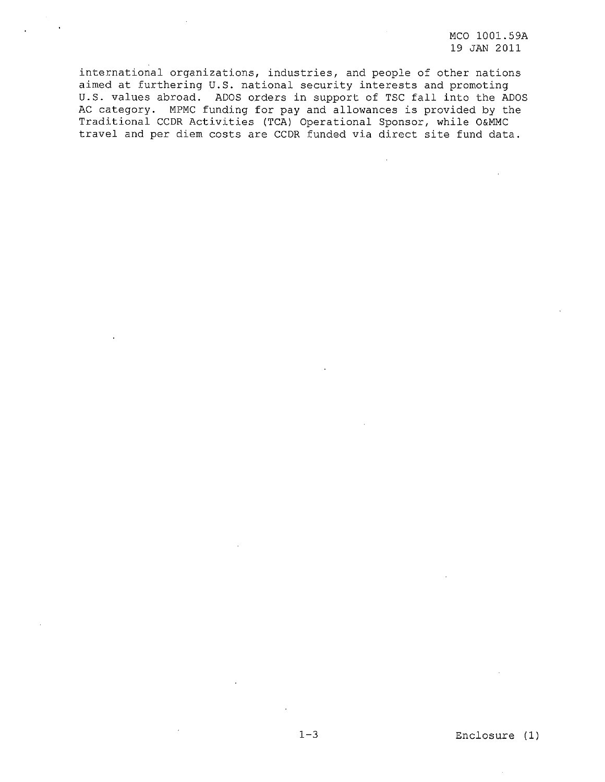international organizations, industries, and people of other nations aimed at furthering **U.S.** national security interests and promoting **U.S.** values abroad. ADOS orders in support of TSC fall into the ADOS AC category. MPMC funding for pay and allowances is provided by the Traditional CCDR Activities (TCA) Operational Sponsor, while O&MMC travel and per diem costs are CCDR funded via direct site fund data.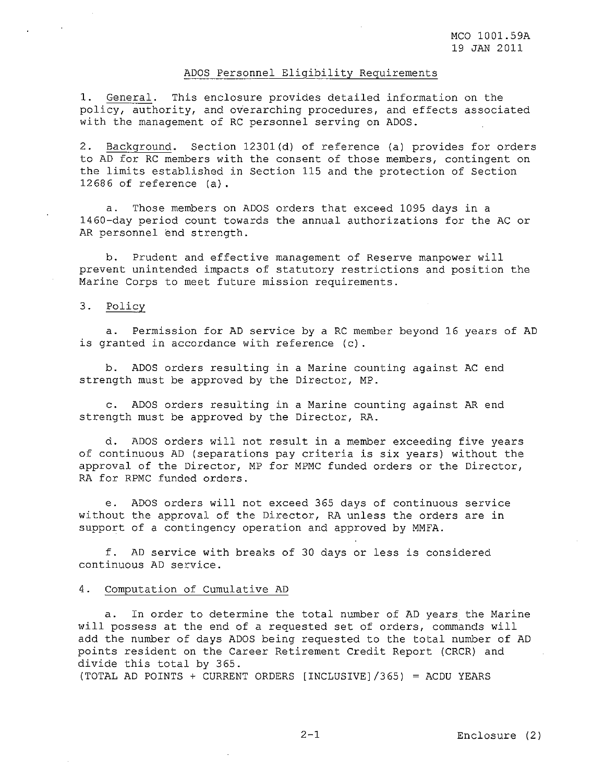#### ADOS Personnel Eligibility Requirements

1. General. This enclosure provides detailed information on the policy, authority, and overarching procedures, and effects associated with the management of RC personnel serving on ADOS.

2. Background. Section 12301(d) of reference (a) provides for orders to AD for RC members with the consent of those members, contingent on the limits established in Section 115 and the protection of Section 12686 of reference (a).

a. Those members on ADOS orders that exceed 1095 days in a 1460-day period count towards the annual authorizations for the AC or AR personnel end strength.

b. Prudent and effective management of Reserve manpower will prevent unintended impacts of statutory restrictions and position the Marine Corps to meet future mission requirements.

# 3. Policy

a. Permission for AD service by a RC member beyond 16 years of AD is granted in accordance with reference (c).

b. ADOS orders resulting in a Marine counting against AC end strength must be approved by the Director, MP.

c. ADOS orders resulting in a Marine counting against AR end strength must be approved by the Director, RA.

d. ADOS orders will not result in <sup>a</sup> member exceeding five years of continuous AD (separations pay criteria is six years) without the approval of the Director, MP for MPMC funded orders or the Director, RA for RPMC funded orders.

e. ADOS orders will not exceed 365 days of continuous **service** without the approval of the Director, RA unless the orders **are in** support of a contingency operation and approved by MMFA.

f. AD service with breaks of <sup>30</sup> days or less is considered continuous AD service.

#### 4. Computation of Cumulative AD

a. In order to determine the total number of AD years the Marine will possess at the end of <sup>a</sup> requested set of orders, commands will add the number of days ADOS being requested to the total number of AD points resident on the Career Retirement Credit Report (CRCR) and divide this total by 365.

(TOTAL AD POINTS + CURRENT ORDERS [INCLUSIVEj/365) <sup>=</sup> ACDU YEARS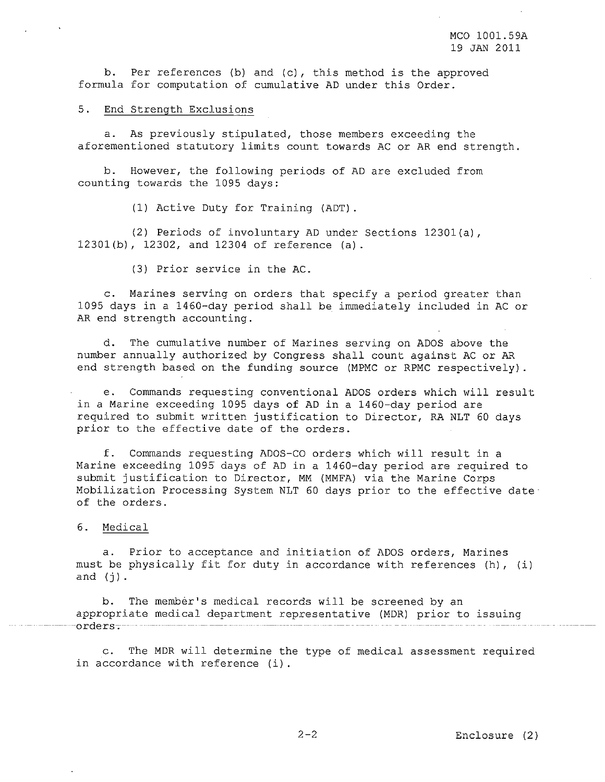b. Per references (b) and (c), this method is the approved formula for computation of cumulative AD under this Order.

5. End Strength Exclusions

a. As previously stipulated, those members exceeding the aforementioned statutory limits count towards AC or AR end strength.

b. However, the following periods of AD are excluded from counting towards the 1095 days:

(1) Active Duty for Training (ADT).

(2) Periods of involuntary AD under Sections l230l(a), l230l(b), 12302, and 12304 of reference (a).

(3) Prior service in the AC.

c. Marines serving on orders that specify <sup>a</sup> period greater than 1095 days in a l460-day period shall be immediately included in AC or AR end strength accounting.

d. The cumulative number of Marines serving on ADOS above the number annually authorized by Congress shall count against AC or AR end strength based on the funding source (MPMC or RPMC respectively) .

e. Commands requesting conventional ADOS orders which will result in a Marine exceeding 1095 days of AD in a l460-day period are required to submit written justification to Director, RA NLT <sup>60</sup> days prior to the effective date of the orders.

f. Commands requesting ADOS-CO orders which will result in <sup>a</sup> Marine exceeding 1095 days of AD in a l460-day period are required to submit justification to Director, MM (MMFA) via the Marine Corps Mobilization Processing System NLT 60 days prior to the effective dateof the orders.

6. Medical

a. Prior to acceptance and initiation of ADOS orders, Marines must be physically fit for duty in accordance with references (h), (i) and  $(j)$ .

b. The member's medical records will be screened by an appropriate medical department representative (MDR) prior to issuing orders<del>.</del>

c. The MDR will determine the type of medical assessment required in accordance with reference (i).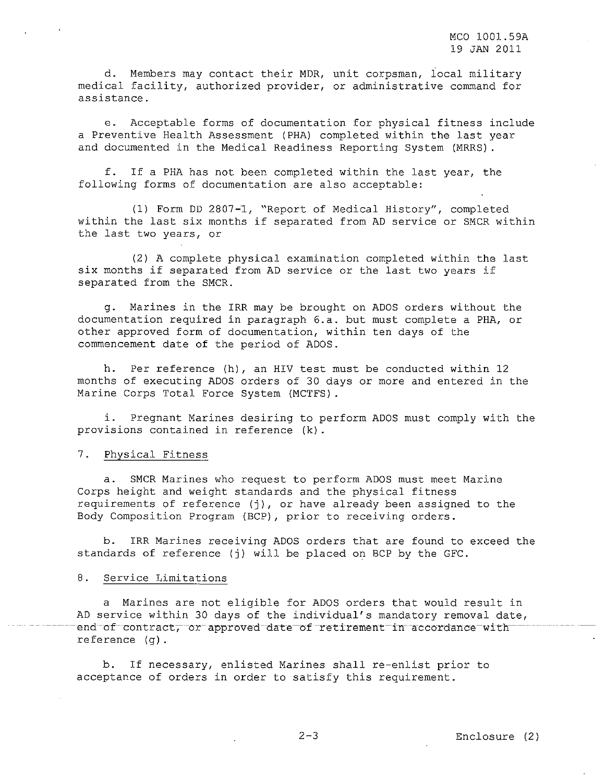d. Members may contact their MDR, unit corpsman, local military medical facility, authorized provider, or administrative command for assistance.

e. Acceptable forms of documentation for physical fitness include <sup>a</sup> Preventive Health Assessment (PHA) completed within the last year and documented in the Medical Readiness Reporting System (MRRS).

f. If <sup>a</sup> PHA has not been completed within the last year, the following forms of documentation are also acceptable:

(1) Form DD 2807-1, "Report of Medical History", completed within the last six months if separated from AD service or SMCR within the last two years, or

(2) <sup>A</sup> complete physical examination completed within the last six months if separated from AD service or the last two years if separated from the SMCR.

g. Marines in the IRR may be brought on ADOS orders without the documentation required in paragraph 6.a. but must complete a PHA, or other approved form of documentation, within ten days of the commencement date of the period of ADOS.

h. Per reference (h), an HIV test must be conducted within <sup>12</sup> months of executing ADOS orders of 30 days or more and entered in the Marine Corps Total Force System (MCTFS).

i. Pregnant Marines desiring to perform ADOS must comply with the provisions contained in reference (k).

## 7. Physical Fitness

a. SMCR Marines who request to perform ADOS must meet Marine Corps height and weight standards and the physical fitness requirements of reference (j), or have already been assigned to the Body Composition Program (BCP) , prior to receiving orders.

IRR Marines receiving ADOS orders that are found to exceed the standards of reference (j) will be placed on BCP by the GFC.

# 8. Service Limitations

<sup>a</sup> Marines are not eligible for ADOS orders that would result in AD service within 30 days of the individual's mandatory removal date, end of contract, or approved date of retirement in accordance with reference (g).

b. If necessary, enlisted Marines shall re-enlist prior to acceptance of orders in order to satisfy this requirement.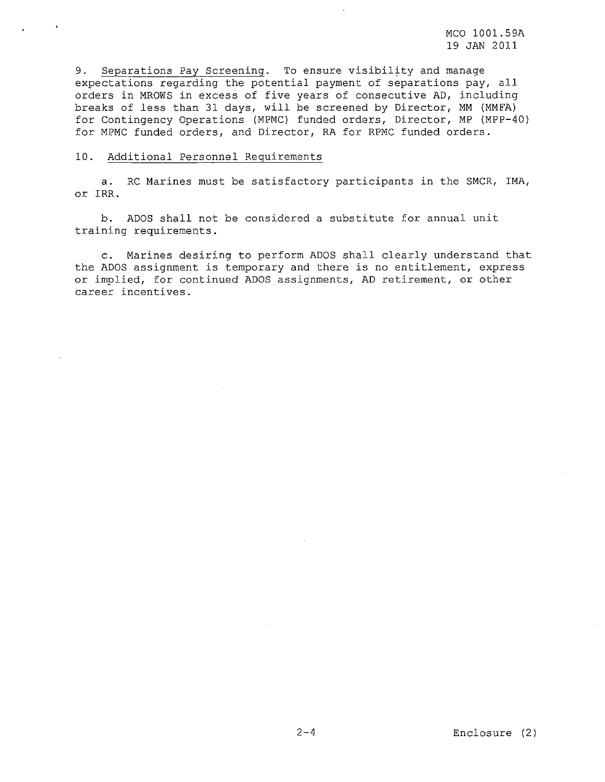9. Separations Pay Screening. To ensure visibility and manage expectations regarding the potential payment of separations pay, all orders in MROWS in excess of five years of consecutive AD, including breaks of less than 31 days, will be screened by Director, MM (MMFA) for Contingency Operations (MPMC) funded orders, Director, MP (MPP-40) for MPMC funded orders, and Director, RA for RPMC funded orders.

#### 10. Additional Personnel Requirements

a. RC Marines must be satisfactory participants in the SMCR, IMA, or IRR.

b. ADOS shall not be considered a substitute for annual unit training requirements.

c. Marines desiring to perform ADOS shall clearly understand that the ADOS assignment is temporary and there is no entitlement, express or implied, for continued ADOS assignments, AD retirement, or other **career incentives.**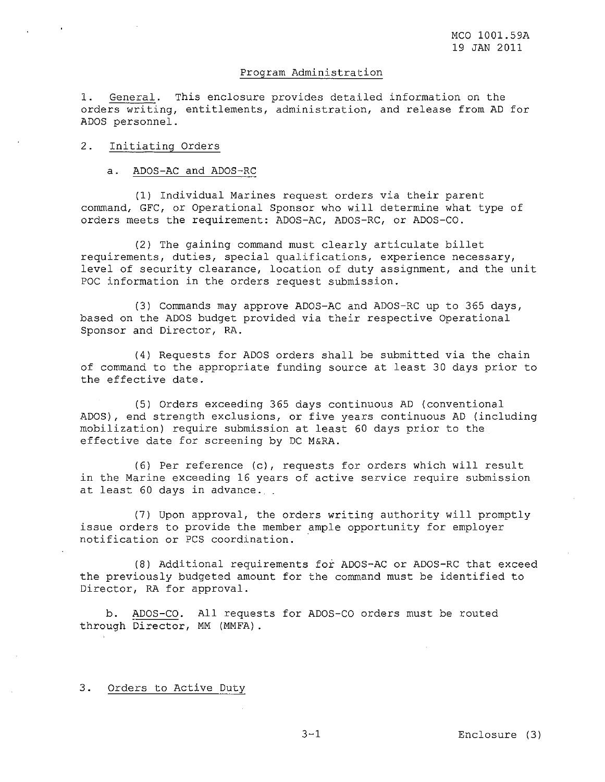# Program Administration

1. General. This enclosure provides detailed information on the orders writing, entitlements, administration, and release from AD for ADOS personnel.

## 2. Initiating Orders

a. ADOS-AC and ADOS-RC

(1) Individual Marines request orders via their parent command, GFC, or Operational Sponsor who will determine what type of orders meets the requirement: ADOS-AC, ADOS-RC, or ADOS-CO.

(2) The gaining command must clearly articulate billet requirements, duties, special qualifications, experience necessary, level of security clearance, location of duty assignment, and the unit POC information in the orders request submission.

(3) Commands may approve ADOS-AC and ADOS-RC up to 365 days, based on the ADOS budget provided via their respective Operational Sponsor and Director, RA.

(4) Requests for ADOS orders shall be submitted via the chain of command to the appropriate funding source at least 30 days prior to the effective date.

(5) Orders exceeding 365 days continuous AD (conventional ADOS), end strength exclusions, or five years continuous AD (including mobilization) require submission at least <sup>60</sup> days prior to the effective date for screening by DC M&RA.

(6) Per reference (c), requests for orders which will result in the Marine exceeding 16 years of active service require submission at least <sup>60</sup> days in advance.

(7) Upon approval, the orders writing authority will promptly issue orders to provide the member ample opportunity for employer notification or PCS coordination. .

(8) Additional requirements for ADOS-AC or ADOS-RC that exceed the previously budgeted amount for the command must be identified to Director, RA for approval.

b. ADOS-CO. All requests for ADOS-CO orders must be routed through Director, MM (MMFA).

3. Orders to Active Duty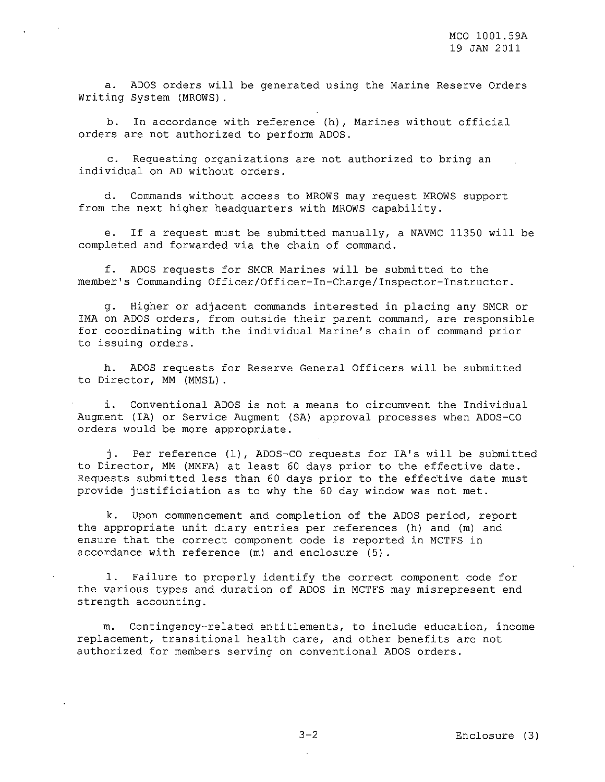a. ADOS orders will be generated using the Marine Reserve Orders Writing System (MROWS).

b. In accordance with reference (h), Marines without official orders are not authorized to perform ADOS.

c. Requesting organizations are not authorized to bring an individual on AD without orders.

d. Commands without access to MROWS may request MROWS support from the next higher headquarters with MROWS capability.

e. If <sup>a</sup> request must be submitted manually, <sup>a</sup> NAVMC 11350 will be completed and forwarded via the chain of command.

f. ADOS requests for SMCR Marines will be submitted to the member's Commanding Officer/Officer-In-Charge/lnspector-Instructor.

g. Higher or adjacent commands interested in placing any SMCR or IMA on ADOS orders, from outside their parent command, are responsible for coordinating with the individual Marine's chain of command prior to issuing orders.

h. ADOS requests for Reserve General Officers will be submitted to Director, MM (MMSL).

i. Conventional ADOS is not <sup>a</sup> means to circumvent the Individual Augment (IA) or Service Augment (SA) approval processes when ADOS-CO orders would be more appropriate.

j. Per reference (1), ADOS-CO requests for lA's will be submitted to Director, MM (MMFA) at least <sup>60</sup> days prior to the effective date. Requests submitted less than 60 days prior to the effective date must provide justificiation as to why the <sup>60</sup> day window was not met.

k. Upon commencement and completion of the ADOS period, report the appropriate unit diary entries per references (h) and (m) and ensure that the correct component code is reported in MCTFS in accordance with reference (m) and enclosure (5).

1. Failure to properly identify the correct component code for the various types and duration of ADOS in MCTFS may misrepresent end strength accounting.

m. Contingency-related entitlements, to include education, income replacement, transitional health care, and other benefits are not authorized for members serving on conventional ADOS orders.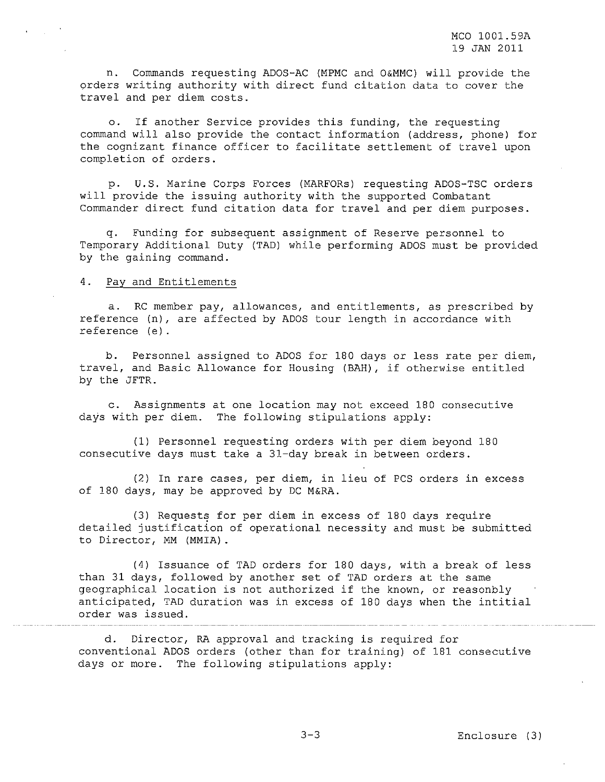n. Commands requesting ADOS-AC (MPMC and O&MMC) will provide the orders writing authority with direct fund citation data to cover the travel and per diem costs.

o. If another Service provides this funding, the requesting command will also provide the contact information (address, phone) for the cognizant finance officer to facilitate settlement of travel upon completion of orders.

p. u.S. Marine Corps Forces (MARFORs) requesting ADOS-TSC orders will provide the issuing authority with the supported Combatant Commander direct fund citation data for travel and per diem purposes.

q. Funding for subsequent assignment of Reserve personnel to Temporary Additional Duty (TAD) while performing ADOS must be provided by the gaining command.

#### 4. Pay and Entitlements

a. RC member pay, allowances, and entitlements, as prescribed by reference (n), are affected by ADOS tour length in accordance with reference (e).

b. Personnel assigned to ADOS for 180 days or less rate per diem, travel, and Basic Allowance for Housing (BAH), if otherwise entitled by the JFTR.

c. Assignments at one location may not exceed 180 consecutive days with per diem. The following stipulations apply:

(1) Personnel requesting orders with per diem beyond 180 consecutive days must take a 3l-day break in between orders.

(2) In rare cases, per diem, in lieu of PCS orders in excess of 180 days, may be approved by DC M&RA.

(3) Requests for per diem in excess of 180 days require detailed justification of operational necessity and must be submitted to Director, MM (MMIA).

(4) Issuance of TAD orders for 180 days, with <sup>a</sup> break of less than 31 days, followed by another set of TAD orders at the same geographical location is not authorized if the known, or reasonbly anticipated, TAD duration was in excess of <sup>180</sup> days when the intitial order was issued.

d. Director, RA approval and tracking is required for conventional ADOS orders (other than for training) of 181 consecutive days or more. The following stipulations apply: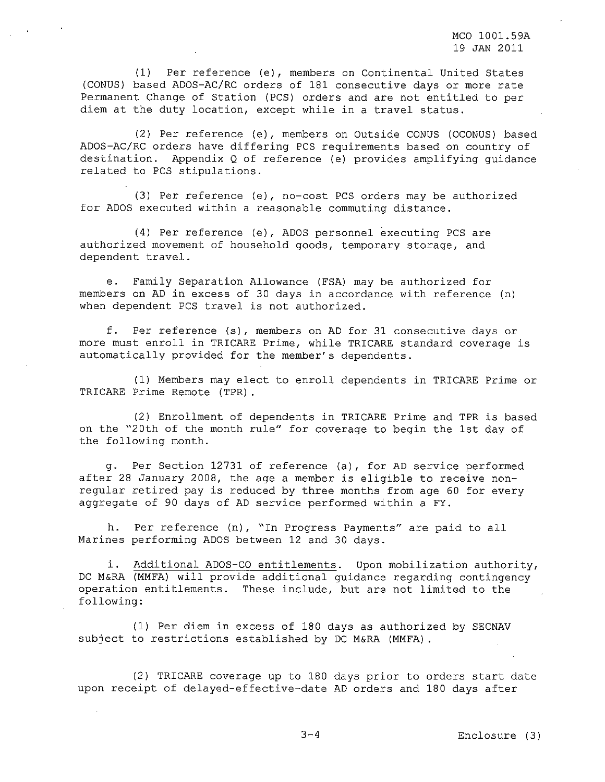(1) Per reference (e), members on Continental United States (CONUS) based ADOS~AC/RC orders of 181 consecutive days or more rate Permanent Change of Station (PCS) orders and are not entitled to per diem at the duty location, except while in <sup>a</sup> travel status.

(2) Per reference (e), members on Outside CONUS (OCONUS) based ADOS-AC/RC orders have differing PCS requirements based on country of destination. Appendix Q of reference (e) provides amplifying guidance related to PCS stipulations.

(3) Per reference (e), no-cost PCS orders may be authorized for ADOS executed within a reasonable commuting distance.

(4) Per reference (e), ADOS personnel executing PCS are authorized movement of household goods, temporary storage, and dependent travel.

e. Family Separation Allowance (FSA) may be authorized for members on AD in excess of 30 days in accordance with reference (n) when dependent PCS travel is not authorized.

f. Per reference (s), members on AD for 31 consecutive days or more must enroll in TRICARE Prime, while TRICARE standard coverage is automatically provided for the member's dependents.

(1) Members may elect to enroll dependents in TRICARE Prime or TRICARE Prime Remote (TPR).

(2) Enrollment of dependents in TRICARE Prime and TPR is based on the "20th of the month rule" for coverage to begin the 1st day of the following month.

g. Per Section 12731 of reference (a), for AD service performed after <sup>28</sup> January 2008, the age <sup>a</sup> member is eligible to receive nonregular retired pay is reduced by three months from age <sup>60</sup> for every aggregate of 90 days of AD service performed within a FY.

h. Per reference (n), "In Progress Payments" are paid to all Marines performing ADOS between 12 and 30 days.

i. Additional ADOS-CO entitlements. Upon mobilization authority, DC M&RA (MMFA) will provide additional guidance regarding contingency operation entitlements. These include, but are not limited to the following:

(1) Per diem in excess of 180 days as authorized by SECNAV subject to restrictions established by DC M&RA (MMFA).

(2) TRICARE coverage up to <sup>180</sup> days prior to orders start date upon receipt of delayed-effective-date AD orders and 180 days after

3-4 Enclosure (3)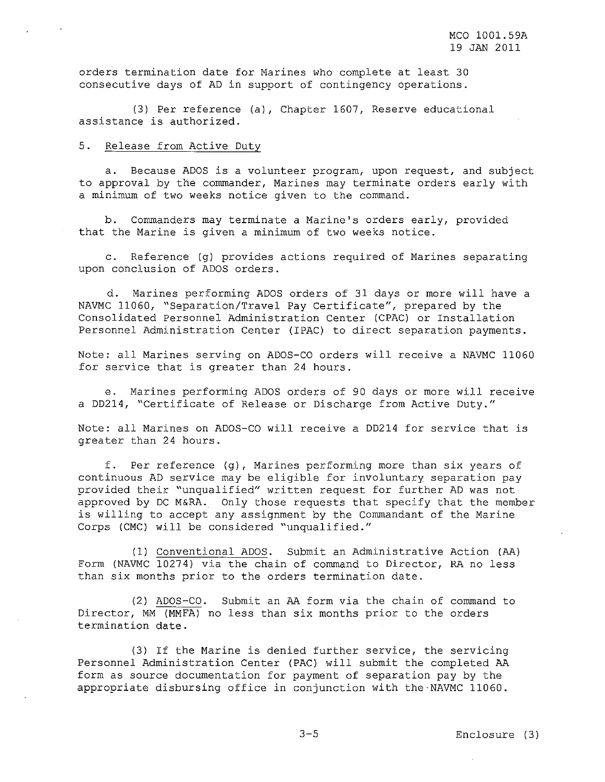orders termination date for Marines who complete at least 30 consecutive days of AD in support of contingency operations.

(3) Per reference (a), Chapter 1607, Reserve educational assistance is authorized.

#### 5. Release from Active Duty

a. Because ADOS is <sup>a</sup> volunteer program, upon request, and subject to approval by the commander, Marines may terminate orders early with a minimum of two weeks notice given to the command.

b. Commanders may terminate a Marine's orders early, provided that the Marine is given <sup>a</sup> minimum of two weeks notice.

c. Reference (g) provides actions required of Marines separating upon conclusion of ADOS orders.

d. Marines performing ADOS orders of 31 days or more will have a NAVMC 11060, "Separation/Travel Pay Certificate", prepared by the Consolidated Personnel Administration Center (CPAC) or Installation Personnel Administration Center (IPAC) to direct separation payments.

Note: all Marines serving on ADOS-CO orders will receive <sup>a</sup> NAVMC 11060 for service that is greater than 24 hours.

e. Marines performing ADOS orders of 90 days or more will receive a DD214, "Certificate of Release or Discharge from Active Duty."

Note: all Marines on ADOS-CO will receive <sup>a</sup> DD214 for service that is greater than 24 hours.

f. Per reference (g), Marines performing more than six years of continuous AD service may be eligible for involuntary separation pay provided their "unqualified" written request for further AD was not approved by DC M&RA. Only those requests that specify that the member is willing to accept any assignment by the Commandant of the Marine Corps (CMC) will be considered "unqualified."

(I) Conventional ADOS. Submit an Administrative Action (AA) Form (NAVMC 10274) via the chain of command to Director, RA no less than six months prior to the orders termination date.

(2) ADOS-CO. Submit an AA form via the chain of command to Director, MM (MMFA) no less than six months prior to the orders termination date.

(3) If the Marine is denied further service, the servicing Personnel Administration Center (PAC) will submit the completed AA form as source documentation for payment of separation pay by the appropriate disbursing office in conjunction with the-NAVMC 11060.

3-5 Enclosure (3)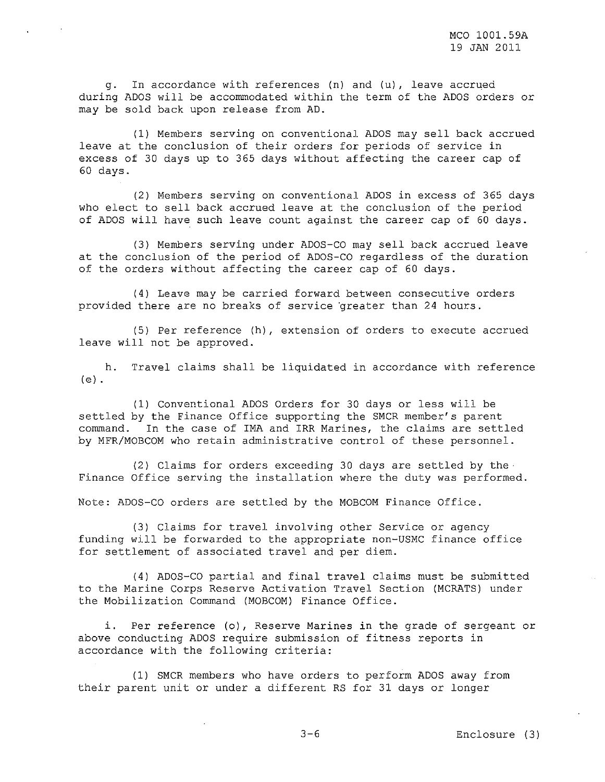g. In accordance with references (n) and (u), leave accrued during ADOS will be accommodated within the term of the ADOS orders or may be sold back upon release from AD.

(1) Members serving on conventional ADOS may sell back accrued leave at the conclusion of their orders for periods of service in excess of 30 days up to 365 days without affecting the career cap of 60 days.

(2) Members serving on conventional ADOS in excess of 365 days who elect to sell back accrued leave at the conclusion of the period of ADOS will have such leave count against the career cap of 60 days.

(3) Members serving under ADOS-CO may sell back accrued leave at the conclusion of the period of ADOS-CO regardless of the duration of the orders without affecting the career cap of 60 days.

(4) Leave may be carried forward between consecutive orders provided there are no breaks of service greater than 24 hours.

(5) Per reference (h), extension of orders to execute accrued leave will not be approved.

h. Travel claims shall be liquidated in accordance with reference (e) .

(1) Conventional ADOS Orders for 30 days or less will be settled by the Finance Office supporting the SMCR member's parent command. In the case of IMA and IRR Marines, the claims are settled by MFR/MOBCOM who retain administrative control of these personnel.

(2) Claims for orders exceeding 30 days are settled by the-Finance Office serving the installation where the duty was performed.

Note: ADOS-CO orders are settled by the MOBCOM Finance Office.

(3) Claims for travel involving other Service or agency funding will be forwarded to the appropriate non-USMC finance office for settlement of associated travel and per diem.

(4) ADOS-CO partial and final travel claims must be submitted to the Marine Corps Reserve Activation Travel Section (MCRATS) under the Mobilization Command (MOBCOM) Finance Office.

i. Per reference (0), Reserve Marines in the grade of sergeant or above conducting ADOS require submission of fitness reports in accordance with the following criteria:

(1) SMCR members who have orders to perform ADOS away from their parent unit or under <sup>a</sup> different RS for 31 days or longer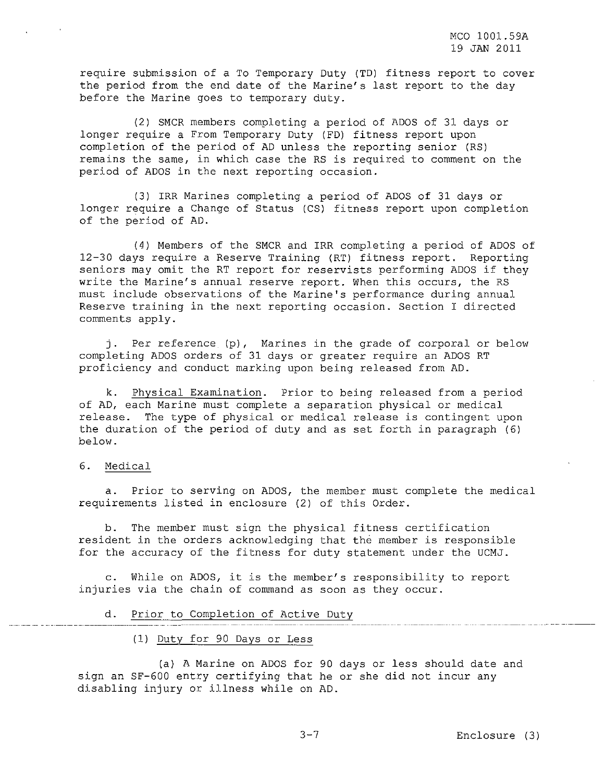require submission of a To Temporary Duty (TD) fitness report to cover the period from the end date of the Marine's last report to the day before the Marine goes to temporary duty.

(2) SMCR members completing a period of ADOS of 31 days or longer require a From Temporary Duty (FD) fitness report upon completion of the period of AD unless the reporting senior (RS) remains the same, in which case the RS is required to comment on the period of ADOS in the next reporting occasion.

(3) IRR Marines completing a period of ADOS of 31 days or longer require a Change of Status (CS) fitness report upon completion of the period of AD.

(4) Members of the SMCR and IRR completing a period of ADOS of 12-30 days require a Reserve Training (RT) fitness report. Reporting seniors may omit the RT report for reservists performing ADOS if they write the Marine's annual reserve report. When this occurs, the RS must include observations of the Marine's performance during annual Reserve training in the next reporting occasion. Section I directed comments apply.

j. Per reference (p), Marines in the grade of corporal or below completing ADOS orders of 31 days or greater require an ADOS RT proficiency and conduct marking upon being released from AD.

k. Physical Examination. Prior to being released from a period of AD, each Marine must complete a separation physical or medical release. The type of physical or medical release is contingent upon the duration of the period of duty and as set forth in paragraph (6) below.

# 6. Medical

a. Prior to serving on ADOS, the member must complete the medical requirements listed in enclosure (2) of this Order.

b. The member must sign the physical fitness certification resident in the orders acknowledging that the member is responsible for the accuracy of the fitness for duty statement under the UCMJ.

c. While on ADOS, it is the member's responsibility to report injuries via the chain of command as soon as they occur.

# d. Prior to Completion of Active Duty

(1) Duty for 90 Days or Less

(a) A Marine on ADOS for 90 days or less should date and sign an SF-600 entry certifying that he or she did not incur any disabling injury or illness while on AD.

3-7 Enclosure (3)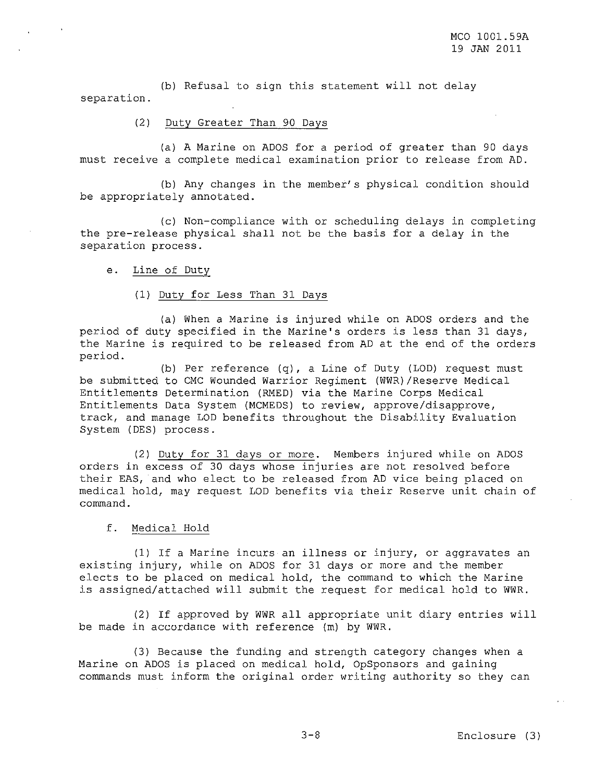(b) Refusal to sign this statement will not delay separation.

# (2) Duty Greater Than 90 Days

(a) A Marine on ADOS for a period of greater than 90 days must receive a complete medical examination prior to release from AD.

(b) Any changes in the member's physical condition should be appropriately annotated.

(c) Non-compliance with or scheduling delays in completing the pre-release physical shall not be the basis for a delay in the separation process.

e. Line of Duty

#### (1) Duty for Less Than 31 Days

(a) When <sup>a</sup> Marine is injured while on ADOS orders and the period of duty specified in the Marine's orders is less than <sup>31</sup> days, the Marine is required to be released from AD at the end of the orders period.

(b) Per reference (q), a Line of Duty (LOD) request must be submitted to CMC Wounded Warrior Regiment (WWR)/Reserve Medical Entitlements Determination (RMED) via the Marine Corps Medical Entitlements Data System (MCMEDS) to review, approve/disapprove, track, and manage LOD benefits throughout the Disability Evaluation System (DES) process.

(2) Duty for 31 days or more. Members injured while on ADOS orders in excess of 30 days whose injuries are not resolved before their EAS, and who elect to be released from AD vice being placed on medical hold, may request LOD benefits via their Reserve unit chain of command.

# f. Medical Hold

(1) If <sup>a</sup> Marine incurs an illness or injury, or aggravates an existing injury, while on ADOS for 31 days or more and the member elects to be placed on medical hold, the command to which the Marine is assigned/attached will submit the request for medical hold to WWR.

(2) If approved by WWR all appropriate unit diary entries will be made in accordance with reference (m) by WWR.

(3) Because the funding and strength category changes when a Marine on ADOS is placed on medical hold, OpSponsors and gaining commands must inform the original order writing authority so they can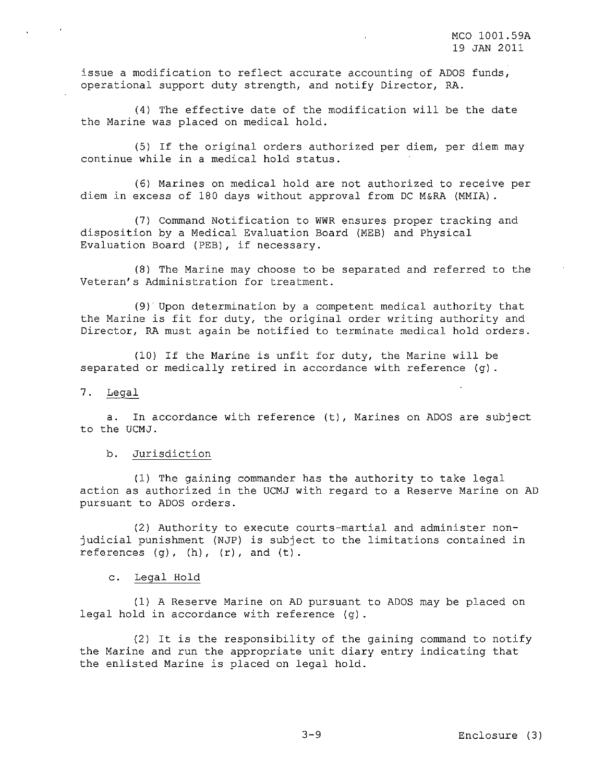issue <sup>a</sup> modification to reflect accurate accounting of ADOS funds, operational support duty strength, and notify Director, RA.

(4) The effective date of the modification will be the date the Marine was placed on medical hold.

(5) If the original orders authorized per diem, per diem may continue while in <sup>a</sup> medical hold status.

(6) Marines on medical hold are not authorized to receive per diem in excess of 180 days without approval from DC M&RA (MMIA).

(7) Command Notification to WWR ensures proper tracking and disposition by a Medical Evaluation Board (MEB) and Physical Evaluation Board (PEB) , if necessary.

(8) The Marine may choose to be separated and referred to the Veteran's Administration for treatment.

(9) Upon determination by <sup>a</sup> competent medical authority that the Marine is fit for duty, the original order writing authority and Director, RA must again be notified to terminate medical hold orders.

(10) If the Marine is unfit for duty, the Marine will be separated or medically retired in accordance with reference (g).

### 7. Legal

a. In accordance with reference (t), Marines on ADOS are subject to the UCMJ.

#### b. Jurisdiction

(1) The gaining commander has the authority to take legal action as authorized in the UCMJ with regard to a Reserve Marine on AD pursuant to ADOS orders.

(2) Authority to execute courts-martial and administer nonjudicial punishment (NJP) is subject to the limitations contained in references  $(g)$ ,  $(h)$ ,  $(r)$ , and  $(t)$ .

# c. Legal Hold

(1) A Reserve Marine on AD pursuant to ADOS may be placed on legal hold in accordance with reference (g).

(2) It is the responsibility of the gaining command to notify the Marine and run the appropriate unit diary entry indicating that the enlisted Marine is placed on legal hold.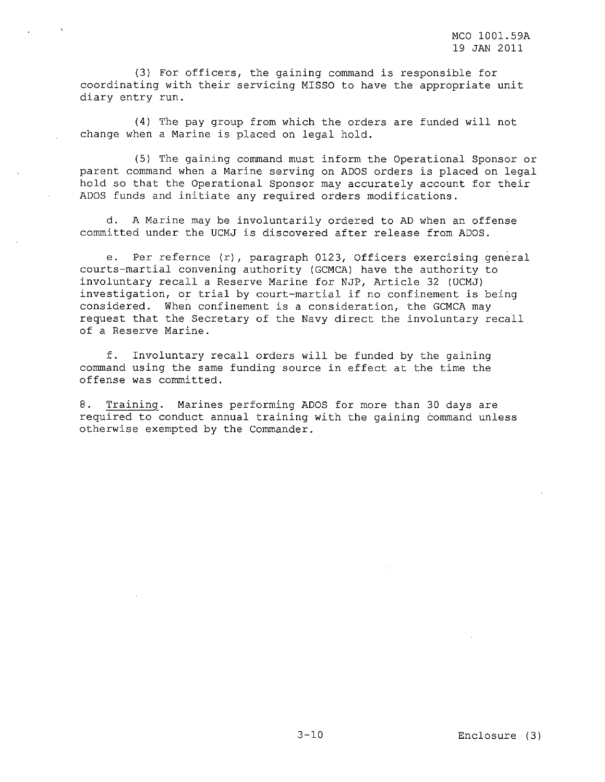(3) For officers, the gaining command is responsible for coordinating with their servicing MISSO to have the appropriate unit diary entry run.

(4) The pay group from which the orders are funded will not change when <sup>a</sup> Marine is placed on legal hold.

(5) The gaining command must inform the Operational Sponsor or parent command when <sup>a</sup> Marine serving on ADOS orders is placed on legal hold so that the Operational Sponsor may accurately account for their ADOS funds and initiate any required orders modifications.

**d.** A Marine may be involuntarily ordered to AD when an offense committed under the UCMJ is discovered after release from ADOS.

**e.** Per refernce (r), paragraph 0123, Officers exercising general courts-martial convening authority (GCMCA) have the authority to involuntary recall <sup>a</sup> Reserve Marine for NJP, Article <sup>32</sup> (UCMJ) investigation, or trial by court-martial if no confinement is being considered. When confinement is <sup>a</sup> consideration, the GCMCA may request that the Secretary of the Navy direct the involuntary recall of a Reserve Marine.

**f.** command using the same funding source in effect at the time the offense was committed. Involuntary recall orders will be funded by the gaining

**8.** Training. Marines performing ADOS for more than 30 days are required to conduct annual training with the gaining command unless otherwise exempted by the Commander.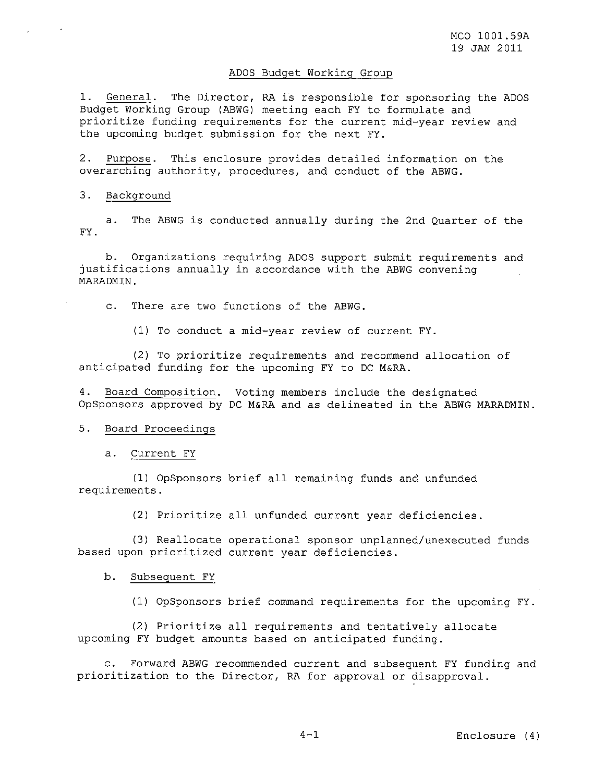#### ADOS Budget Working Group

1. General. The Director, RA is responsible for sponsoring the ADOS Budget Working Group (ABWG) meeting each FY to formulate and prioritize funding requirements for the current mid-year review and the upcoming budget submission for the next FY.

2. Purpose. This enclosure provides detailed information on the overarching authority, procedures, and conduct of the ABWG.

### 3. Background

a. The ABWG is conducted annually during the 2nd Quarter of the FY.

b. Organizations requiring ADOS support submit requirements and justifications annually in accordance with the ABWG convening MARADMIN.

c. There are two functions of the ABWG.

(1) To conduct a mid-year review of current FY.

(2) To prioritize requirements and recommend allocation of anticipated funding for the upcoming FY to DC M&RA.

4. Board Composition. Voting members include the designated OpSponsors approved by DC M&RA and as delineated in the ABWG MARADMIN.

#### 5. Board Proceedings

a. Current FY

(1) OpSponsors brief all remaining funds and unfunded requirements.

(2) Prioritize all unfunded current year deficiencies.

(3) Reallocate operational sponsor unplanned/unexecuted funds based upon prioritized current year deficiencies.

b. Subsequent FY

(1) OpSponsors brief command requirements for the upcoming FY.

(2) Prioritize all requirements and tentatively allocate upcoming FY budget amounts based on anticipated funding.

c. Forward ABWG recommended current and subsequent FY funding and prioritization to the Director, RA for approval or disapproval.

4-1 Enclosure (4)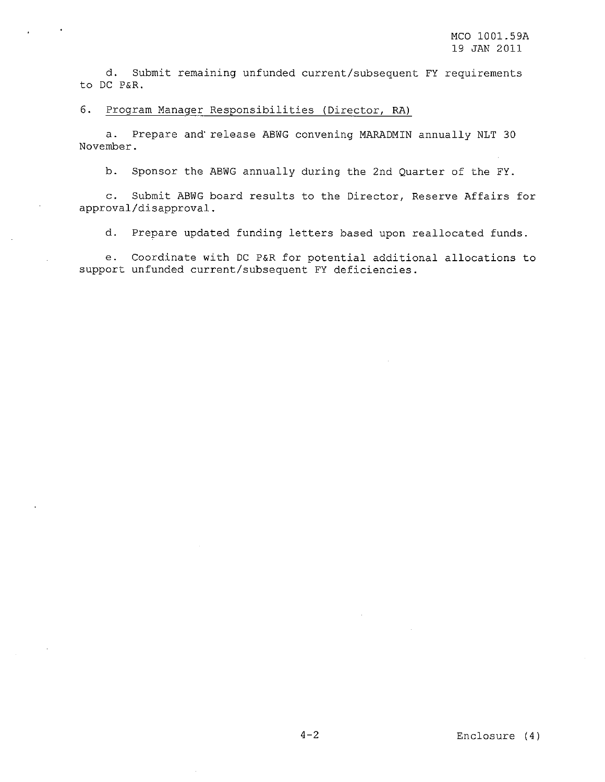d. Submit remaining unfunded current/subsequent FY requirements to DC P&R.

# 6. Program Manager Responsibilities (Director, RA)

a. Prepare and'release ABWG convening MARADMIN annually NLT 30 November.

b. Sponsor the ABWG annually during the 2nd Quarter of the FY.

c. Submit ABWG board results to the Director, Reserve Affairs for approval/disapproval.

d. Prepare updated funding letters based upon reallocated funds.

e. Coordinate with DC P&R for potential additional allocations to support unfunded current/subsequent FY deficiencies.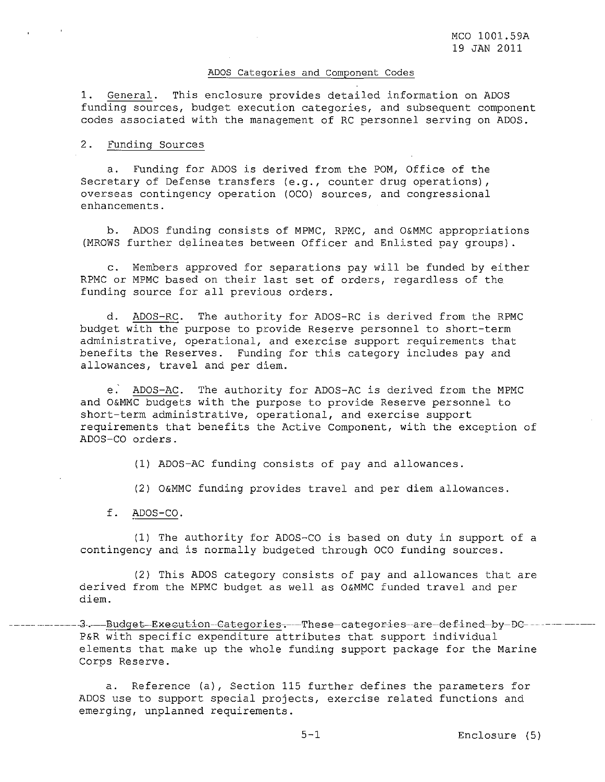#### ADOS Categories and Component Codes

1. General. This enclosure provides detailed information on ADOS funding sources, budget execution categories, and subsequent component codes associated with the management of RC personnel serving on ADOS.

# 2. Funding Sources

a. Funding for ADOS is derived from the POM, Office of the Secretary of Defense transfers (e.g., counter drug operations), overseas contingency operation (OCO) sources, and congressional enhancements.

b. ADOS funding consists of MPMC, RPMC, and O&MMC appropriations (MROWS further delineates between Officer and Enlisted pay groups).

c. Members approved for separations pay will be funded by either RPMC or MPMC based on their last set of orders, regardless of the funding source for all previous orders.

d. ADOS-RC. The authority for ADOS-RC is derived from the RPMC budget with the purpose to provide Reserve personnel to short-term administrative, operational, and exercise support requirements that benefits the Reserves. Funding for this category includes pay and allowances, travel and per diem.

e. ADOS-AC. The authority for ADOS-AC is derived from the MPMC and O&MMC budgets with the purpose to provide Reserve personnel to short-term administrative, operational, and exercise support requirements that benefits the Active Component, with the exception of ADOS-CO orders.

(1) ADOS-AC funding consists of pay and allowances.

(2) O&MMC funding provides travel and per diem allowances.

f. ADOS-CO.

(1) The authority for ADOS-CO is based on duty in support of <sup>a</sup> contingency and is normally budgeted through OCO funding sources.

(2) This ADOS category consists of pay and allowances that are derived from the MPMC budget as well as O&MMC funded travel and per diem.

3.---Budget-Execution-Categories.--These-categories-are-defined-by-DC---P&R with specific expenditure attributes that support individual elements that make up the whole funding support package for the Marine Corps Reserve.

a. Reference (a), Section 115 further defines the parameters for ADOS use to support special projects, exercise related functions and emerging, unplanned requirements.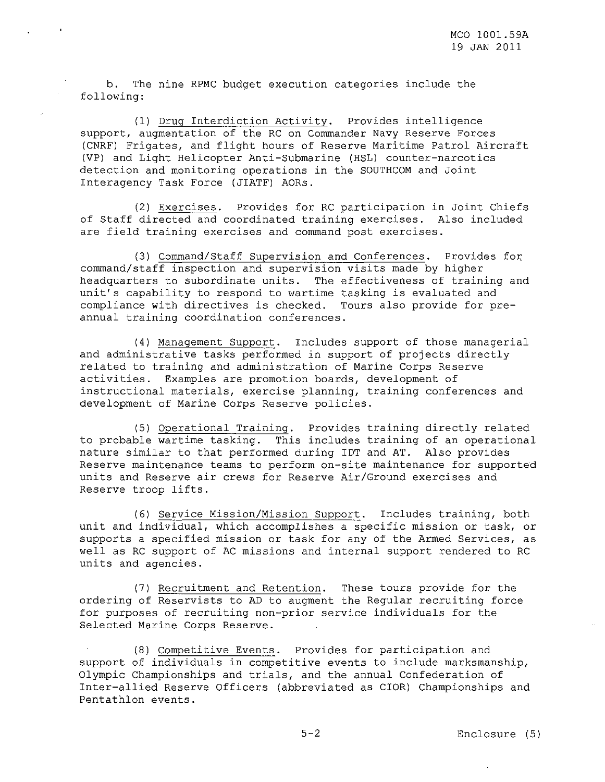b. The nine RPMC budget execution categories include the following:

(1) Drug Interdiction Activity. Provides intelligence support, augmentation of the RC on Commander Navy Reserve Forces (CNRF) Frigates, and flight hours of Reserve Maritime Patrol Aircraft (VP) and Light Helicopter Anti-Submarine (HSL) counter-narcotics detection and monitoring operations in the SOUTHCOM and Joint Interagency Task Force (JIATF) AORs.

(2) Exercises. Provides for RC participation in Joint Chiefs of Staff directed and coordinated training exercises. Also included are field training exercises and command post exercises.

(3) Command/Staff Supervision and Conferences. Provides for command/staff inspection and supervision visits made by higher headquarters to subordinate units. The effectiveness of training and unit's capability to respond to wartime tasking is evaluated and compliance with directives is checked. Tours also provide for preannual training coordination conferences.

(4) Management Support. Includes support of those managerial and administrative tasks performed in support of projects directly related to training and administration of Marine Corps Reserve activities. Examples are promotion boards, development of instructional materials, exercise planning, training conferences and development of Marine Corps Reserve policies.

(5) Operational Training. Provides training directly related to probable wartime tasking. This includes training of an operational nature similar to that performed during IDT and AT. Also provides Reserve maintenance teams to perform on-site maintenance for supported units and Reserve air crews for Reserve Air/Ground exercises and Reserve troop lifts.

(6) Service Mission/Mission Support. Includes training, both unit and individual, which accomplishes <sup>a</sup> specific mission or task, or supports a specified mission or task for any of the Armed Services, as well as RC support of AC missions and internal support rendered to RC units and agencies.

(7) Recruitment and Retention. These tours provide for the ordering of Reservists to AD to augment the Regular recruiting force for purposes of recruiting non-prior service individuals for the Selected Marine Corps Reserve.

(8) Competitive Events. Provides for participation and support of individuals in competitive events to include marksmanship, Olympic Championships and trials, and the annual Confederation of Inter-allied Reserve Officers (abbreviated as CIOR) Championships and Pentathlon events.